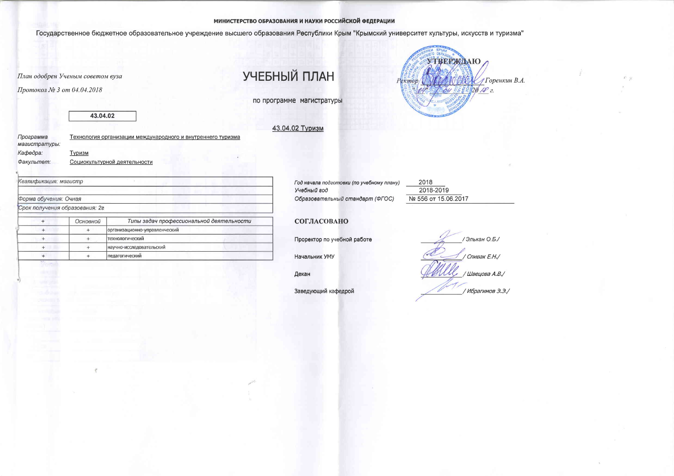## МИНИСТЕРСТВО ОБРАЗОВАНИЯ И НАУКИ РОССИЙСКОЙ ФЕДЕРАЦИИ

Государственное бюджетное образовательное учреждение высшего образования Республики Крым "Крымский университет культуры, искусств и туризма"

План одобрен Ученым советом вуза

Протокол № 3 от 04.04.2018

УЧЕБНЫЙ ПЛАН

по программе магистратуры

43.04.02 Туризм



43.04.02

 $\tilde{\tau}$ 

| Программа<br>магистратуры: | Технология организации международного и внутреннего туризма |
|----------------------------|-------------------------------------------------------------|
| Кафедра:                   | Туризм                                                      |
| Факультет:                 | Социокультурной деятельности                                |

Квалификация: магистр

Форма обучения: Очная

Срок получения образования: 2г

| Основной | Типы задач профессиональной деятельности |
|----------|------------------------------------------|
|          |                                          |
|          | организационно-управленческий            |
|          | <b>Технологический</b>                   |
|          | научно-исследовательский                 |
|          | педагогический                           |

Год начала подготовки (по учебному плану) Учебный год Образовательный стандарт (ФГОС)

2018 2018-2019 № 556 от 15.06.2017

## СОГЛАСОВАНО

Проректор по учебной работе

Начальник УМУ

Декан

Заведующий кафедрой

/Элькан О.Б./ / Спивак Е.Н./ / Швецова А.В./ / Ибрагимов Э.Э./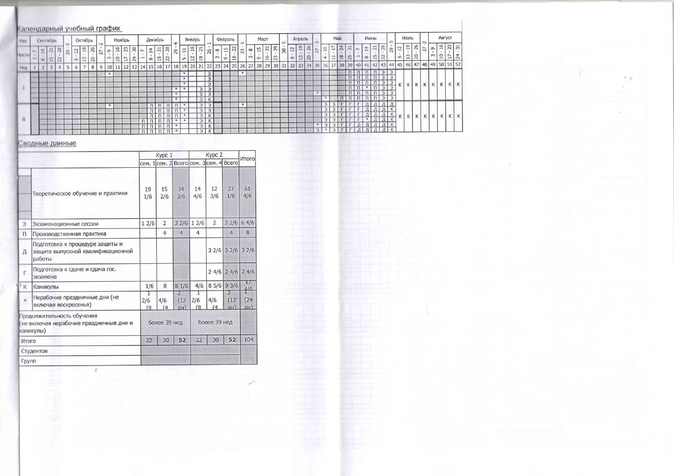## Календарный учебный график

| Mec        |     |    | Сентябрь |    |          |                      |     | Октябрь    | $\sim$          |                    |                | Ноябрь                                    |                                                 |                                 |                            | Декабрь                          |                      |    | $\tau$ |                            | Январь   |                            | $\rightarrow$                              |                      | Февраль        |                      | $\rightarrow$ |                    | Март           |                       |                          | 5  |                | Апрель                        |                    | m                 |       |                       | Май                              |                                |            |                | Июнь                   |          | LO                  |                           | Июль                    |                       | $\sim$         |                      |                 | Август          |                           |
|------------|-----|----|----------|----|----------|----------------------|-----|------------|-----------------|--------------------|----------------|-------------------------------------------|-------------------------------------------------|---------------------------------|----------------------------|----------------------------------|----------------------|----|--------|----------------------------|----------|----------------------------|--------------------------------------------|----------------------|----------------|----------------------|---------------|--------------------|----------------|-----------------------|--------------------------|----|----------------|-------------------------------|--------------------|-------------------|-------|-----------------------|----------------------------------|--------------------------------|------------|----------------|------------------------|----------|---------------------|---------------------------|-------------------------|-----------------------|----------------|----------------------|-----------------|-----------------|---------------------------|
| fiscnal    | and | 00 |          | т. | in<br>29 | $\overline{12}$<br>G | 19  | 26<br> 3 8 | $\overline{27}$ | $\sigma$<br>$\sim$ | $\overline{a}$ | $\overline{\phantom{0}}$<br>$\rightarrow$ | $\frac{8}{2}$   $\frac{8}{2}$<br>$\mathbb{Z}^4$ | $\overline{2}$<br>$\rightarrow$ | $\frac{14}{3}$<br>$\infty$ | $\overline{z}$<br>$\frac{15}{2}$ | 28<br>$\overline{2}$ | 29 |        | $\Xi$<br>Ln                | 18<br>12 | 25<br>$\boxed{9}$          | 26                                         | $^{\circ}$<br>$\sim$ | 15<br>$\sigma$ | $\overline{2}$<br>16 | 23            | $\infty$<br>$\sim$ | 51<br>$\sigma$ | $\sqrt{2}$<br>$^{16}$ | $\sqrt{2}$<br>$\sqrt{2}$ | 30 | 12<br>$\sigma$ | $\frac{9}{2}$<br>$\mathbb{Z}$ | 26<br>$\mathbb{R}$ | $\overline{a}$    | $\Xi$ | IJ<br>급               | $\frac{1}{24}$<br>$\frac{8}{18}$ | $\overline{5}$<br>$\mathbb{Z}$ | <b>And</b> | 14<br>$\infty$ | $\overline{z}$<br>$-1$ | 28<br>22 | 29                  | $\overline{2}$<br>$\circ$ | $^{19}$<br>$\mathbb{C}$ | 26<br>$\overline{20}$ | $\overline{z}$ | $\sigma$<br>$\infty$ | $\overline{10}$ | $\overline{17}$ | $\frac{16}{23}$<br>$\sim$ |
| Нед        |     |    |          |    |          |                      | $-$ | 8          | 9               |                    |                | 12 <sup>1</sup>                           |                                                 | 13 14                           | 15                         | 16                               |                      |    | 18     | 19 20 21                   |          |                            | 22                                         | 23                   | 24             | 25                   | 26            | 27                 | 28             | 29                    |                          |    |                | 30 31 32 33                   |                    | 34 35             |       |                       | 37 38                            | 39                             | 40 41      |                |                        |          | 42 43 44            |                           |                         |                       |                | 45 46 47 48 49       |                 |                 | 50 51 52                  |
|            |     |    |          |    |          |                      |     |            |                 |                    |                |                                           |                                                 |                                 |                            |                                  |                      |    |        | *                          |          | Э<br>Э<br>Э                | Э<br>Э<br>Э<br>Э<br>Э<br>К                 |                      |                |                      |               |                    |                |                       |                          |    |                |                               |                    | 196               |       |                       |                                  | п                              |            |                | $\mathsf{\Pi}$         | Э<br>Э   | $\overline{2}$<br>Э |                           | К                       | K                     | $K \mid$       | $\kappa$             | К               | к               | КI                        |
| $_{\rm H}$ |     |    |          |    |          |                      |     |            |                 |                    |                |                                           |                                                 |                                 |                            |                                  |                      |    |        | 冰<br>1000<br><b>M</b><br>冰 |          | Э<br>Э<br>Э<br>Э<br>Э<br>Э | Э<br>$\overline{z}$<br>$\overline{u}$<br>К |                      |                |                      | <b>Skt</b>    |                    |                |                       |                          |    |                |                               |                    | n.<br><b>STAR</b> |       | Э<br>Э<br>Э<br>Э<br>Э |                                  |                                |            | W.             |                        |          | К<br>К              |                           | К                       | к                     | К              | К                    |                 |                 | K,                        |

## Сводные данные

|       |                                                                                    |                 | Kypc 1         |                  |                 | Kypc 2                                  |                   | <b>Итого</b> |
|-------|------------------------------------------------------------------------------------|-----------------|----------------|------------------|-----------------|-----------------------------------------|-------------------|--------------|
|       |                                                                                    |                 |                |                  |                 | сем. 1 сем. 2 Всего сем. 3 сем. 4 Всего |                   |              |
|       | Теоретическое обучение и практики                                                  | 19<br>1/6       | 15<br>2/6      | 34<br>3/6        | 14<br>4/6       | 12<br>3/6                               | 27<br>1/6         | 61<br>4/6    |
| Э     | Экзаменационные сессии                                                             | 12/6            | $\overline{2}$ | 32/6             | 12/6            | $\overline{2}$                          | 32/6              | 64/6         |
| Π     | Производственная практика                                                          |                 | $\overline{4}$ | $\overline{4}$   | $\overline{4}$  |                                         | $\overline{4}$    | 8            |
| Д     | Подготовка к процедуре защиты и<br>защита выпускной квалификационной<br>работы     |                 |                |                  |                 |                                         | $32/6$ 32/6       | 32/6         |
| r.    | Подготовка к сдаче и сдача гос.<br>экзамена                                        |                 |                |                  |                 | 24/6                                    | 24/6              | 24/6         |
| К     | Каникулы                                                                           | 1/6             | 8              | 81/6             | 4/6             | 8 5/6                                   | 93/6              | T<br>4/6     |
| Ŵ.    | Нерабочие праздничные дни (не<br>включая воскресенья)                              | 1<br>2/6<br>(8) | 4/6<br>(4)     | 2<br>(12)<br>лн) | T<br>2/6<br>(8) | 4/6<br>(4)                              | 2<br>(12)<br>(HH) | (24)<br>AH   |
|       | Продолжительность обучения<br>(не включая нерабочие праздничные дни и<br>каникулы) |                 | более 39 нед   |                  |                 | более 39 нед                            |                   |              |
| Итого |                                                                                    | 22              | 30             | 52               | 22              | 30                                      | 52                | 104          |
|       | Студентов                                                                          |                 |                |                  |                 |                                         |                   |              |
| Групп |                                                                                    |                 |                |                  |                 |                                         |                   |              |

 $\mathcal{R}$ 

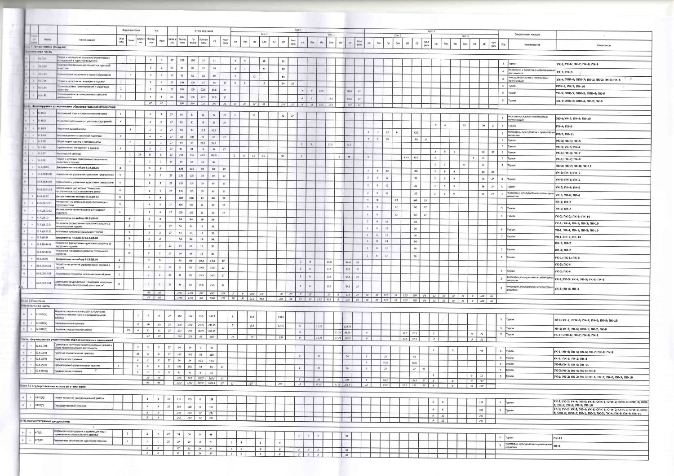|                      |                               |                                                                                          |                         | Форма контроля          |                      |                                | 3.6.                            |                 |            |                | Итого астр.часов   |                 |                            |                         |                         |                |                |               |    | Kypc 1          |                      |               |                       |               |                 |                      |                |                |        |                     |                                                   | Kypc.2                  |                |               |              |                      |                 |                    |
|----------------------|-------------------------------|------------------------------------------------------------------------------------------|-------------------------|-------------------------|----------------------|--------------------------------|---------------------------------|-----------------|------------|----------------|--------------------|-----------------|----------------------------|-------------------------|-------------------------|----------------|----------------|---------------|----|-----------------|----------------------|---------------|-----------------------|---------------|-----------------|----------------------|----------------|----------------|--------|---------------------|---------------------------------------------------|-------------------------|----------------|---------------|--------------|----------------------|-----------------|--------------------|
| 198799<br>88         | Houses.                       | Наименование                                                                             | 3k38                    | Зачет                   | Зачет к              | <b>Excrep</b>                  | $\Phi$ act                      | 4acos #         | Экспер     | $\mathsf{no}$  | Контакт            |                 | Конт                       |                         |                         |                | Сем. 1         |               |    | Конт            |                      |               | Сем. 2                |               |                 |                      |                |                | Cem. 3 |                     |                                                   |                         |                |               | Сен. 4       |                      |                 |                    |
| <b>FURIA</b>         | — ГДн циплины (модули)        |                                                                                          | MOH                     |                         | ou.                  | THOS                           |                                 | 3.8.            | THOP       | runawy         | <b>Hacker</b>      | CP              | poni                       | 3.8.                    | Лек                     | n <sub>p</sub> | Cow            | M3<br>CP      |    | a.e.<br>ports.  | $ $ /key             | TO:           | Cere<br>ИЗ            | $\mathbb{CP}$ | Kover<br>ports. | 3.8                  | <b>Jies</b>    | n <sub>p</sub> | Cen    | из                  | Kover<br>CP.<br>ports                             | 3.6.                    | Лек            | Tip           | Cem          | W3                   | CP              | Конт<br>port       |
|                      | <b>SALARINAR YALTE</b>        |                                                                                          |                         |                         |                      |                                |                                 |                 |            |                |                    |                 |                            |                         |                         |                |                |               |    |                 |                      |               |                       |               |                 |                      |                |                |        |                     |                                                   |                         |                |               |              |                      |                 |                    |
| $\sim$               | 81.0.01                       | порня и методология социально-экономических<br>пледований в туристкой индустрии          |                         | 1                       |                      |                                | 4                               | 27              | 108        | 108            | 27                 | 81              |                            | $\ddot{\phantom{1}}$    |                         |                |                |               |    |                 |                      |               |                       |               |                 |                      |                |                |        |                     |                                                   |                         |                |               |              |                      |                 |                    |
| $\rightarrow$        | 10:0.02                       | равовое обеспечение деятельности в туристкой                                             |                         | $1\,$                   |                      |                                |                                 |                 |            |                |                    |                 |                            |                         | $\overline{9}$          |                | 18             | 81            |    |                 |                      |               |                       |               |                 |                      |                |                |        |                     |                                                   |                         |                |               |              |                      |                 |                    |
| $\mathbf{v}$         | 81.0.03                       | HAVCTDAM                                                                                 |                         |                         |                      | 3                              | $\overline{3}$                  | 27              | 81         | 81             | 12                 | 69              |                            | 3                       | $\overline{\mathbf{3}}$ |                | 9              | 69            |    |                 |                      |               |                       |               |                 |                      |                |                |        |                     |                                                   |                         |                |               |              |                      |                 |                    |
|                      | 61.0.04                       | питьютерные технологии в науке и образовании                                             |                         | $\mathbf{1}$            |                      | 3                              | -3                              | 27              | 81         | B1             | 12                 | 69              |                            | $\mathbf{1}$            |                         | 12             |                | 69            |    |                 |                      |               |                       |               |                 |                      |                |                |        |                     |                                                   |                         |                |               |              |                      |                 |                    |
|                      |                               | порни и методология географии в туризме-<br>душниминное проектирование и управление      | $1$                     |                         |                      | $-4$                           | $\blacktriangleleft$            | 27              | 108        | 108            | 27                 | 54              | 27                         | $\ddot{\bullet}$        | 9                       |                | 18             | 54            | 27 |                 |                      |               |                       |               |                 |                      |                |                |        |                     |                                                   |                         |                |               |              |                      |                 |                    |
| $\mathcal{F}$        | 80.01                         | фовитани                                                                                 | $\mathbf{z}$            |                         |                      | $\ddot{}$                      |                                 | 27.             | 108        | 105            | 22.5               | 58.5            | 27                         |                         |                         |                |                |               |    | $\rightarrow$   | 度                    | 13.5          |                       | 58.5          | 27              |                      |                |                |        |                     |                                                   |                         |                |               |              |                      |                 |                    |
| $\ddot{v}$           | 81.0.00                       | прогнозирование и планирование в туристиой<br>интельности                                | $\overline{2}$          |                         |                      | $\frac{4}{3}$                  | $-4$                            | 27              | 108        | 108            | 225                | 58.5            | 27                         |                         |                         |                |                |               |    |                 | $\theta$             |               | 13.5                  | 58.5          | 27              |                      |                |                |        |                     |                                                   |                         |                |               |              |                      |                 |                    |
|                      |                               | ть формируемая участниками образовательных отношений                                     |                         |                         |                      | 22                             | 22                              |                 | 594        | 594            | 123                | 390             | S1                         | 14                      | 21                      | 12             | $-45$          | 273           | 27 | $\mathcal{S}$   | 18                   | コスス           | 13.8                  | 117           | St              |                      |                |                |        |                     |                                                   |                         |                |               |              |                      |                 |                    |
| $\ddot{\phantom{1}}$ | <b>EL.B.OL</b>                | Никстранный язык в профессиональной сфере                                                |                         |                         |                      |                                |                                 |                 |            |                |                    |                 |                            |                         |                         |                |                |               |    |                 |                      |               |                       |               |                 |                      |                |                |        |                     |                                                   |                         |                |               |              |                      |                 |                    |
|                      |                               |                                                                                          | $1^{\circ}$             |                         |                      | $\overline{3}$                 | $\overline{3}$                  | 27 <sup>°</sup> | 81         | B1             | 12                 | 42              | 27                         | $\overline{\mathbf{3}}$ |                         | 12             |                | 42            | 27 |                 |                      |               |                       |               |                 |                      |                |                |        |                     |                                                   |                         |                |               |              |                      |                 |                    |
| $+1$                 | 01.0.02                       | Винінковая деятельность туристских предприятий                                           | $\mathbf{A}$            |                         |                      | $\overline{\mathbf{3}}$        | $\mathbf{I}$                    | 27              | B1         | $\bf 81$       | 18                 | 36              | $-27$                      |                         |                         |                |                |               |    |                 |                      |               |                       |               |                 |                      |                |                |        |                     |                                                   | 3                       | 6              |               | 12           |                      | 36              | 27                 |
| ×                    | 61,8.03                       | напоми высшей школы                                                                      |                         | 3                       |                      | $\overline{2}$                 | $\overline{2}$                  | 27              | 54         | 54             | 10.5               | 43.5            |                            |                         |                         |                |                |               |    |                 |                      |               |                       |               |                 | $\mathbf{2}$         | $\cdot$        | 1.5            |        | 43.5                |                                                   |                         |                |               |              |                      |                 |                    |
|                      | 61.8.04                       | <b>МОГНИВИДИМЕНТ В ТУРИСТСКОЙ ИНДУСТРИИ</b>                                              | $\overline{3}$          |                         |                      | $-4.$                          | $-4$                            | 27              | 108        | 108            | 21                 | 60              | 27.                        |                         |                         |                |                |               |    |                 |                      |               |                       |               |                 | $\ddot{\phantom{1}}$ | 16             | $15 -$         |        |                     | 60<br>27                                          |                         |                |               |              |                      |                 |                    |
| ٠                    | 80,05.18                      | Общая теория туризма и гостеприимства                                                    |                         | $\cdot$ 2               |                      | $2^{\circ}$                    | $\mathbf{2}$                    | 27              | 54         | 54             | 22.5               | 31.5            |                            |                         |                         |                |                |               |    | $\mathcal{Z}$   |                      |               | 13.5                  | 31.5          |                 |                      |                |                |        |                     |                                                   |                         |                |               |              |                      |                 |                    |
|                      | 14, 15, 16                    | пратегический менеджмент в туризме.                                                      | 4                       |                         |                      | $\mathbf{3}$                   | $3 -$                           | 27              | 81         | $-81$          | 18                 | 36              | 27.                        |                         |                         |                |                |               |    |                 |                      |               |                       |               |                 |                      |                |                |        |                     |                                                   | $\overline{3}$          | 9              | 9             |              |                      | 36              | 27<br>5            |
|                      | 61.0.07                       | Магистерский семинар                                                                     |                         | $\mathbf{1}$            | 24                   | - 8                            | в.                              | 27.             | .216       | 216            | 46.5               | 169.5           |                            | $\sqrt{2}$              | 9                       | 7.5            | 1.5            | 36            |    | $\overline{2}$  |                      |               | 卷                     | 48            |                 | $\mathbb{R}$         |                |                | 13.5   | 40.5                |                                                   | $\mathbf{z}$            |                |               |              | $\mathbf{9}$         | $45 -$          | $5^{\circ}$        |
|                      | 61.8.08                       | порня и методика преподавания специальных<br>ансциллин в туризме                         |                         | 4                       |                      | $\mathbf{2}$                   | $\mathbf{z}$                    | 27              | $-54$      | 54             | 18                 | 36              |                            |                         |                         |                |                |               |    |                 |                      |               |                       |               |                 |                      |                |                |        |                     |                                                   | $\overline{2}$          | 9              |               | $\mathbf{9}$ |                      |                 |                    |
|                      | 51.0.00.01                    | Дисциплины по выбору 51.8.ДВ.01                                                          | $\ddot{\phantom{1}}$    |                         |                      | <b>S</b>                       | $\overline{\phantom{a}}$        |                 | 135        | 135            | 39 <sup>°</sup>    | 69              | 27                         |                         |                         |                |                |               |    |                 |                      |               |                       |               |                 | $\rightarrow$        | $^{\circ}$     | 12             |        | 33                  |                                                   |                         |                |               |              |                      | 35              | 5                  |
|                      | E1.B.216.01.01                | Антикризионое управление туристским предприятием:                                        | $\rightarrow$           |                         |                      | 5                              | $\cdot$ 5                       | 27              | 135        | 135            | 39                 | 69              | 27.                        |                         |                         |                |                |               |    |                 |                      |               |                       |               |                 |                      |                |                |        |                     |                                                   | $\overline{\mathbf{3}}$ | $\mathbf{9}$   | 9             |              |                      | 36              | 27                 |
|                      | 51.B./IB.01.02                | Организация и управление туристокими перевозками                                         | $\ddot{\phantom{1}}$    |                         |                      | 5                              | 5                               | 27              | 135        | 135            |                    |                 |                            |                         |                         |                |                |               |    |                 |                      |               |                       |               |                 | $\mathbf{2}$         | -91            | $12^{1}$       |        | 33 <sup>2</sup>     |                                                   | $\overline{\mathbf{3}}$ | $\mathbf{Q}$   | $\mathcal{Q}$ |              |                      | 36              | 27<br>$\sim$       |
|                      | EL.10.88,8.18                 | Vulrmituukseeles дисциплина "TexHonories                                                 | $4^{\circ}$             |                         |                      |                                |                                 |                 |            |                | 39                 | :69             | 27.                        |                         |                         |                |                |               |    |                 |                      |               |                       |               |                 | $\overline{z}$       | $\sim$         | 12             |        | 33                  |                                                   | 3                       | 9              | $\cdot$       |              |                      | 36              | 27<br>$5^{\circ}$  |
|                      | 61.0.00.02                    | профессионального и личностного роста"                                                   |                         |                         |                      | $5^{\circ}$                    | $\overline{\phantom{a}}$        | $27\,$          | 135        | 135            | 39                 | 69              | 27.                        |                         |                         |                |                |               |    |                 |                      |               |                       |               |                 | 2                    | 9              | 12             |        | 33                  |                                                   | $\mathbf{B}$            | -91            | $\cdot$       |              |                      | 36              | 27<br>$\mathbf{3}$ |
|                      |                               | Дисциплины по выбору Б1.В.ДВ.02<br>енеджнент качества и конкурентослособность            | $\overline{\mathbf{3}}$ |                         |                      | $\ddot{ }$                     | $\overline{A}$                  |                 | 108        | 108            | 21                 | 60              | 27.                        |                         |                         |                |                |               |    |                 |                      |               |                       |               |                 | -                    | $\cdot$        | 12             |        | 60                  | 27                                                |                         |                |               |              |                      |                 |                    |
|                      | 51.6.00.02.01                 | ристовк успуг                                                                            | 3                       |                         |                      | $\ddot{\phantom{1}}$           | $\ddot{\mathcal{A}}$            | 27              | 108        | 108            | 21                 | 60              | 27.                        |                         |                         |                |                |               |    |                 |                      |               |                       |               |                 | $\ddot{\phantom{1}}$ | $\mathbf{u}$   | $12\,$         |        | .60                 | 27                                                |                         |                |               |              |                      |                 | 5                  |
|                      | 50.50.80.44.18                | нновационное проектирование в туристской<br>назустрии.                                   | 3.                      |                         |                      | $-4$                           | $\mathcal{A}$                   | 27              | 108        | 108            | 21                 | 60              | 27 <sub>2</sub>            |                         |                         |                |                |               |    |                 |                      |               |                       |               |                 |                      |                | 12             |        | 60                  | 27                                                |                         |                |               |              |                      |                 |                    |
| 14                   | ED.RD.D.18                    | Дисциплины по выбору 51.8.ДВ.03                                                          |                         | 3                       |                      | $\overline{2}$                 | $\overline{a}$                  |                 | 54         | 54             | 18                 | 36              |                            |                         |                         |                |                |               |    |                 |                      |               |                       |               |                 | $\mathcal{L}$        | $\mathfrak{a}$ | 12             |        |                     |                                                   |                         |                |               |              |                      |                 | 5                  |
|                      | 0.000000000000                | ехнология формирования туристского продукта в<br>неждународном туризме                   |                         | $\ddot{3}$              |                      | $\overline{2}$                 | $\mathbf{z}$                    | 27              | 54         | 54             | 18                 | 36              |                            |                         |                         |                |                |               |    |                 |                      |               |                       |               |                 |                      |                |                |        | 36                  |                                                   |                         |                |               |              |                      |                 |                    |
|                      | 61.8.09.03.02                 | Актуальные проблемы социального туркома                                                  |                         | $\overline{\mathbf{3}}$ |                      | $\mathbf{2}$                   | $\mathbf{z}$                    | 27              | 54         | 54             | 38                 | 36              |                            |                         |                         |                |                |               |    |                 |                      |               |                       |               |                 |                      | 6              | $12 -$         |        | 36                  |                                                   |                         |                |               |              |                      |                 | 5                  |
|                      | 0.01, 0.1                     | Дисциплины по выбору Б1.В.ДВ.04                                                          |                         | $\overline{\mathbf{3}}$ |                      | $\mathbf{z}$                   | $\overline{2}$                  |                 | 54         | 54             | 18                 | 36              |                            |                         |                         |                |                |               |    |                 |                      |               |                       |               |                 | x                    | 6              | 12             |        | 36                  |                                                   |                         |                |               |              |                      |                 | $5 -$              |
|                      | 1.0.08.04.01                  | ехнология формирования туристского продукта во<br>нутреннем туризме                      |                         | $\overline{3}$          |                      | $\mathbf{2}$                   | $\mathbf{2}$                    | 27              | 54         | 54             | 18                 | 36 <sub>1</sub> |                            |                         |                         |                |                |               |    |                 |                      |               |                       |               |                 | $\mathbf{a}$         | 6              | 12             |        | 36                  |                                                   |                         |                |               |              |                      |                 |                    |
|                      | 1.8.08.04.02                  | итуальные направления развития гостиничного                                              |                         | $\overline{\mathbf{3}}$ |                      |                                |                                 |                 |            |                |                    |                 |                            |                         |                         |                |                |               |    |                 |                      |               |                       |               |                 | п.                   | 古              | 12             |        | 36:                 |                                                   |                         |                |               |              |                      |                 | 5                  |
|                      | 1.8.08.05                     | <b>G3RACTB8</b><br>Дисциплины по выбору 51.8.ДВ.05                                       |                         |                         |                      | $\mathbf{z}$                   | $\mathbf{z}$                    | 27              | 54         | 54             | 18                 | 36              |                            |                         |                         |                |                |               |    |                 |                      |               |                       |               |                 |                      | $\theta$       | $12\,$         |        | 36                  |                                                   |                         |                |               |              |                      |                 | 5                  |
|                      | 51.8.09.05.01                 | лазработка и принятие управленческих решений в                                           | $\overline{2}$          |                         |                      | $\overline{3}$                 | $\overline{\mathbf{3}}$         |                 | 81         | 81             | 19.5               | 34.5            | $27$                       |                         |                         |                |                |               |    | 31              | $\ddot{\phantom{a}}$ |               | 13.5                  | 34.5          | 27              |                      |                |                |        |                     |                                                   |                         |                |               |              |                      |                 |                    |
|                      |                               | <b>туриане</b>                                                                           | $\mathbf{2}$            |                         |                      | $\overline{\mathbf{3}}$        | 3                               | 27              | 81         | 81             | 19.5               | 34.5            | 27                         |                         |                         |                |                |               |    |                 | 6                    |               | 13.5                  | 34.5          | $-27$           |                      |                |                |        |                     |                                                   |                         |                |               |              |                      |                 | 5                  |
|                      | 51.8.48.05.02                 | Покхология и технология мехоти<br>стного общения.                                        | $\frac{1}{2}$           |                         |                      | 3                              | $\mathbf{3}$                    | 27.             | 81         | 81             | 19.5               | 34.5            | 27                         |                         |                         |                |                |               |    | $\overline{1}$  | 6                    |               | 13.5                  | 34.5          | $-27$           |                      |                |                |        |                     |                                                   |                         |                |               |              |                      |                 | 3                  |
|                      | 61.0.08.05.03                 | Адаптационная дисциплина "Социальная интеграция                                          | $\overline{2}$          |                         |                      | 3 <sub>1</sub>                 | 3                               | 27              | 81         | 81             | 19.5               | 34.5            |                            |                         |                         |                |                |               |    |                 |                      |               |                       |               |                 |                      |                |                |        |                     |                                                   |                         |                |               |              |                      |                 |                    |
|                      |                               | образовательной и трудовой деятельности"                                                 |                         |                         |                      |                                |                                 |                 |            |                |                    |                 | 27                         |                         |                         |                |                |               |    | $\mathbf{J}$    | $\overline{6}$       |               | 13.5                  | 34.5          | 27              |                      |                |                |        |                     |                                                   |                         |                |               |              |                      |                 | $\rightarrow$      |
|                      |                               |                                                                                          |                         |                         |                      | 43<br>65                       | $-43$                           |                 | 1161       |                | $1161$ $202$ $690$ |                 | $189$ $5$ $9$ $19.5$ $1.5$ |                         |                         |                |                |               |    | 78 27 7         | 15                   |               | 27<br>$6\overline{6}$ |               |                 |                      |                |                |        |                     | 114 27 18 39 325 18 1235 309 54 13 33 34 35 36 37 |                         |                |               |              |                      | $\theta$ 189 81 |                    |
|                      | Внин 2.Практика               |                                                                                          |                         |                         |                      |                                | 65                              |                 | 1755       | 1755           | 405                | 1080            | 270                        |                         | $19$ $30$ $31.5$ $46.5$ |                |                |               |    | $351$ $54$ $15$ | 22                   | 12.5          | 40.5<br>5             | 221           | B1              | $18$ $39$            |                |                |        |                     | $52.5$ $18$ $13.5$ $309$ $54$                     |                         | $13$ $33$      | $18$ $21$     |              | $-9 -$               | 189 81          |                    |
|                      | павительная часть             |                                                                                          |                         |                         |                      |                                |                                 |                 |            |                |                    |                 |                            |                         |                         |                |                |               |    |                 |                      |               |                       |               |                 |                      |                |                |        |                     |                                                   |                         |                |               |              |                      |                 |                    |
|                      | $+ 152.0.01(y)$               | Научно-исследовательская работа (получение<br>первичных навыков научно-исследовательской |                         |                         | $\mathbf{I}$         | 6                              | 6.                              | 27.             | 162        | 162            | 13.5               | 148.5           |                            | 6                       |                         | 13.5           |                | 148.5         |    |                 |                      |               |                       |               |                 |                      |                |                |        |                     |                                                   |                         |                |               |              |                      |                 |                    |
| $\ddot{\phantom{1}}$ | 62.0.02(y)                    | работы)<br>Ознакомительная практика.                                                     |                         |                         |                      |                                |                                 |                 |            |                |                    |                 |                            |                         |                         |                |                |               |    |                 |                      |               |                       |               |                 |                      |                |                |        |                     |                                                   |                         |                |               |              |                      |                 | 5.                 |
| $+$                  | 62.0.03(fl)                   | Научно-исследовательская работа                                                          |                         |                         | 12                   | 10                             | $10 -$                          | 27              | 270        | 270            | 24.75              | 245.25          |                            | 5                       |                         | 13.5           |                | 121.5         |    | 5               |                      | 11.25         |                       | 123.75        |                 |                      |                |                |        |                     |                                                   |                         |                |               |              |                      |                 | 5                  |
|                      |                               |                                                                                          |                         | 23                      | $\ddot{\phantom{1}}$ | 11<br>27                       | 11<br>$27\,$                    | 27.             | 297<br>729 | 297            | 30.75              | 266.25          |                            |                         |                         |                |                |               |    | $\ddot{ }$      |                      |               |                       | 11.25 96.75   |                 | $\mathcal{F}$        |                |                | 10.5   | 97.5                |                                                   | 3                       |                |               |              | 9                    | 72              | 5 <sub>1</sub>     |
|                      |                               | поть, формируемая участниками образовательных отношений                                  |                         |                         |                      |                                |                                 |                 |            | 729            | 69                 | 660             |                            | $\boldsymbol{H}$        |                         | 27             |                | 270           |    | $\overline{9}$  |                      | 33.28         |                       | $11.25$ 220.5 |                 | $\mathcal{A}$        |                |                | 10.5   | 975                 |                                                   | $\overline{B}$          |                |               |              | 9                    | $\mathbb{Z}$    |                    |
| $\sim$               | 62.6.01(fl)                   | Практика по получению профессиональных умений и<br>опыта профессиональной деятельности   |                         |                         | $\ddot{\phantom{1}}$ | $\mathbf{z}$                   | 2                               | 27 <sub>2</sub> | 54         | 54             | 9                  | 45              |                            |                         |                         |                |                |               |    |                 |                      |               |                       |               |                 |                      |                |                |        |                     |                                                   |                         |                |               |              |                      |                 |                    |
| $\rightarrow$        | 62.0.02(1)                    | Проектно-технологическая практика                                                        |                         |                         | 23                   | 6                              | 6                               | 27              | 162        | 162            | 54                 | 108             |                            |                         |                         |                |                |               |    |                 |                      |               |                       |               |                 |                      |                |                |        |                     |                                                   | $\overline{z}$          |                | $\frac{1}{2}$ |              |                      | 45              | S                  |
| A.                   | 62.8.03(1)                    | Педагогическая практика                                                                  |                         |                         | 3 <sub>1</sub>       | $\sqrt{2}$                     | $\overline{2}$                  | 27.             | 54         | 54             | 10.5               | 43.5            |                            |                         |                         |                |                |               |    | 3               |                      | 27            |                       | 54            |                 | $\mathcal X$         |                | 27             |        | 54                  |                                                   |                         |                |               |              |                      |                 | 5                  |
| $\ddot{\phantom{1}}$ | 62.8.04(1)                    | Организационно-управленческая практика                                                   | 3.                      |                         | $\mathcal{X}$        | 6                              | 6                               | 27              | 162        | 162            | 54                 | 81              | 27                         |                         |                         |                |                |               |    |                 |                      |               |                       |               |                 | $\mathbf{2}$         |                | 10.5           |        | 43.5                |                                                   |                         |                |               |              |                      |                 | 5                  |
|                      | 62.8.05(FIA)                  | Преддигилонная практика                                                                  |                         |                         | $\blacktriangleleft$ | 3                              | $\overline{\mathbf{3}}$         | 27              | $-81$      | B1             | $\overline{9}$     | 72              |                            |                         |                         |                |                |               |    | $\mathbf{3}$    |                      | 27            |                       | 54            |                 | $\rightarrow$        |                | 27.            |        | 27                  | 27                                                |                         |                |               |              |                      |                 | 5                  |
|                      |                               |                                                                                          |                         |                         |                      | 19                             | 19 <sup>°</sup>                 |                 | 513        | 513 136.5      |                    | 349.5           | 27                         |                         |                         |                |                |               |    | 6               |                      | $-54$         |                       | 100           |                 | $\boldsymbol{S}$     |                | 64.5           |        |                     |                                                   | 3                       |                |               |              | $-9$                 | 72              | 5                  |
|                      |                               | <b>инн 3 Государственная итоговая аттестация</b>                                         |                         |                         |                      | $46 -$                         | $46 -$                          |                 | 1242       |                | 1242 205.5 1009.5  |                 | 27.                        | II                      |                         | $-27$          |                | $270^{\circ}$ |    | $15 -$          |                      | 65.25         | $11.25$ $328.5$       |               |                 | 12                   |                | 64.5           |        | 124.5<br>$10.5$ 222 | 27<br>27                                          | S<br>B                  |                | $-9$<br>9     |              | 9 <sub>1</sub><br>18 | 117<br>189      |                    |
|                      |                               |                                                                                          |                         |                         |                      |                                |                                 |                 |            |                |                    |                 |                            |                         |                         |                |                |               |    |                 |                      |               |                       |               |                 |                      |                |                |        |                     |                                                   |                         |                |               |              |                      |                 |                    |
| $\bullet$            | 53.01(A)                      | зшита выпускной квалификационной работы                                                  |                         |                         |                      | $\frac{1}{2}$                  | -5                              | 27.             | 135        | 135            | $\sim$             | 129             |                            |                         |                         |                |                |               |    |                 |                      |               |                       |               |                 |                      |                |                |        |                     |                                                   |                         |                |               |              |                      |                 |                    |
| œ.                   | 63.02(r)                      | Государственный экзамен                                                                  |                         |                         |                      |                                |                                 |                 |            |                |                    |                 |                            |                         |                         |                |                |               |    |                 |                      |               |                       |               |                 |                      |                |                |        |                     |                                                   | 5                       | $\overline{6}$ |               |              |                      | 129             | $-5$               |
|                      |                               |                                                                                          |                         |                         |                      | $-4$                           | -4                              | 27              | 108        | 108            | 6                  | 102             |                            |                         |                         |                |                |               |    |                 |                      |               |                       |               |                 |                      |                |                |        |                     |                                                   | $\blacktriangleleft$    | 6              |               |              |                      | 102             | $5^{\circ}$        |
|                      |                               |                                                                                          |                         |                         |                      | $\mathcal{G}$<br>$\mathcal{G}$ | $\overline{g}$<br>$\mathcal{G}$ |                 | 743<br>243 | 243<br>243     | $12\,$<br>$12\,$   | 231<br>231      |                            |                         |                         |                |                |               |    |                 |                      |               |                       |               |                 |                      |                |                |        |                     |                                                   | 9                       | 12             |               |              |                      | 231             |                    |
|                      | ⊪ТД.Факультативные дисциплины |                                                                                          |                         |                         |                      |                                |                                 |                 |            |                |                    |                 |                            |                         |                         |                |                |               |    |                 |                      |               |                       |               |                 |                      |                |                |        |                     |                                                   | $\mathcal{G}$           | 12             |               |              |                      | 231             |                    |
|                      |                               | i ali<br>Особенности преподавания в туризме для лиц с                                    |                         |                         |                      |                                |                                 |                 |            |                |                    |                 |                            |                         |                         |                |                |               |    |                 |                      |               |                       |               |                 |                      |                |                |        |                     |                                                   |                         |                |               |              |                      |                 |                    |
| $+$                  | отд.от                        | ограниченными возможностями здоровья                                                     |                         | $\overline{\mathbf{z}}$ |                      | $\overline{2}$                 | $\mathbf{2}$                    | 27              | 54         | 54             | 6                  | 48              |                            |                         |                         |                |                |               |    | $2^{\circ}$     | - 3                  | $\lambda$     |                       | 48            |                 |                      |                |                |        |                     |                                                   |                         |                |               |              |                      |                 | 5.                 |
|                      | $+$ 07/2.02                   | Современная региональная культурная политика                                             |                         | $\mathbf{1}$            |                      | $\cdot \mathbf{I}$             | $\mathbf{1}$                    | 27              | 27         | $27^{\circ}$   | 18                 | 9               |                            | $1\,$                   | $\mathcal{G}$           |                | $\overline{9}$ | $\mathbf{Q}$  |    |                 |                      |               |                       |               |                 |                      |                |                |        |                     |                                                   |                         |                |               |              |                      |                 |                    |
|                      |                               |                                                                                          |                         |                         |                      | $\mathcal{F}$                  | $\cdot$ <sub>3</sub>            |                 | 81         | 31             | 24                 | 57.             |                            | $\mathcal{I}$           | $\mathcal{G}$           |                | $\mathcal{G}$  | $\mathcal{S}$ |    | $\mathbf{2}$    | $\mathcal{I}$        | $\mathcal{J}$ |                       | $-48$         |                 |                      |                |                |        |                     |                                                   |                         |                |               |              |                      |                 | $\frac{3}{4}$      |
|                      |                               | $\mathcal{L}$                                                                            |                         |                         |                      | 3                              | $\mathcal{F}$                   |                 | 81         | $\mathcal{B}1$ | 24.                | 57              |                            | $\mathbf{I}$            | 9                       |                | $\mathcal{P}$  | $\mathcal{G}$ |    | $\mathcal{Z}$   |                      |               |                       | $40^{\circ}$  |                 |                      |                |                |        |                     |                                                   |                         |                |               |              |                      |                 |                    |
|                      |                               |                                                                                          |                         |                         |                      |                                |                                 |                 |            |                |                    |                 |                            |                         |                         |                |                |               |    |                 |                      |               |                       |               |                 |                      |                |                |        |                     |                                                   |                         |                |               |              |                      |                 |                    |
|                      |                               |                                                                                          |                         |                         |                      |                                |                                 |                 |            |                |                    |                 |                            |                         |                         |                |                |               |    |                 |                      |               |                       |               |                 |                      |                |                |        |                     |                                                   |                         |                |               |              |                      |                 |                    |

| Закрепленная кафедра                                          |                                                                                              |
|---------------------------------------------------------------|----------------------------------------------------------------------------------------------|
|                                                               | œ                                                                                            |
| Нанменование                                                  | Компетенции                                                                                  |
|                                                               |                                                                                              |
| уризм                                                         | УК-1; УК-6; ПК-7; ПК-8; ПК-9                                                                 |
| узеологии и билиотечно-информационной                         | УК-1; ПК-3                                                                                   |
| <b>СЯТСЛЬНОСТИ</b><br>ностранных языков и межязыковых         | そー対<br>УК-4; ОПК-6; ОПК-7; ПК-1; ПК-2; ПК-3; ПК-8                                            |
| омиуникаций<br>уризи                                          | ОПК-6; ПК-7; ПК-10                                                                           |
| уризм                                                         | УК-3; ОПК-3; ОПК-5; ОПК-6; ПК-6                                                              |
| уризм                                                         | УК-1; ОПК-2; ОПК-4; ПК-2; ПК-5                                                               |
|                                                               |                                                                                              |
|                                                               |                                                                                              |
| ностранных языков и межпзыковых<br>эммуникаций                | УК-4; УК-5; ПК-9; ПК-10                                                                      |
| ризм                                                          | ПК-4; ПК-6                                                                                   |
| илософии, культуралогии и гуманитарных<br>кодиллин            | ПК-7; ПК-11                                                                                  |
| ризн                                                          | УК-3; ПК-1; ПК-5                                                                             |
| /Pin3M                                                        | УК-3; УК-5; ПК-4                                                                             |
| pusin                                                         | УК-1; ПК-4; ПК-7                                                                             |
| MENG<br>ризи                                                  | УК-1; ПК-7; ПК-8                                                                             |
|                                                               | ПК-3; ПК-7; ПК-8; ПК-11<br>УК-3; ПК-1; ПК-2                                                  |
| ризит                                                         | УК-3; ПК-1; ПК-2                                                                             |
| ризм                                                          | x                                                                                            |
| илософии, культурологии и гуманитарных                        | УК-3; ПК-4; ПК-9                                                                             |
| СЦИПЛИН                                                       | УК-5; УК-6; ПК-4                                                                             |
| <b>DVGM</b>                                                   | УК-1; ПК-7                                                                                   |
|                                                               | УК-1; ПК-7                                                                                   |
| ризм                                                          | УК-2; ПК-2; ПК-6; ПК-10                                                                      |
| <b>PH3M</b>                                                   | УК-1; УК-4; ПК-1; ПК-3; ПК-10                                                                |
| picay                                                         | УК-1; УК-4; ПК-1; ПК-3; ПК-10<br>УК-1; ПК-7; ПК-10                                           |
|                                                               | ПК-3; ПК-7                                                                                   |
| <b>HENO</b>                                                   | ПК-3; ПК-7                                                                                   |
| MENG                                                          | УК-1; ПК-1; ПК-3                                                                             |
|                                                               | УК-3; ПК-4                                                                                   |
| <b>MENC</b>                                                   | УК-3; ПК-4                                                                                   |
| лософим, культуралогии и гуманитарных<br>заколна:             | УК-1; УК-3; УК-4; УК-5; УК-6; ПК-5                                                           |
| пософии, культурологии и гунанитарных <b>УК-5; УК-6; ПК-4</b> |                                                                                              |
| нитинд                                                        |                                                                                              |
|                                                               |                                                                                              |
|                                                               |                                                                                              |
|                                                               |                                                                                              |
| <b>HEN</b>                                                    | УК-1; УК-2; ОПК-6; ПК-7; ПК-8; ПК-9; ПК-10                                                   |
| W3H                                                           | УК-1; УК-5; УК-6; ОПК-1; ПК-7; ПК-8                                                          |
| HEM                                                           | УК-1; ОПК-6; ПК-7; ПК-8; ПК-9                                                                |
|                                                               |                                                                                              |
| <b>MEN</b>                                                    | УК-1; УК-6; ПК-5; ПК-6; ПК-7; ПК-8; ПК-9                                                     |
| 41384                                                         | УК-1; ПК-1; ПК-2; ПК-3                                                                       |
| H3H                                                           | УК-6; ПК-7; ПК-9; ПК-11                                                                      |
| HEN                                                           | УК-2; УК-3; ПК-4; ПК-5; ПК-6                                                                 |
| KSM                                                           | УК-1; УК-2; ПК-2; ПК-3; ПК-6; ПК-7; ПК-8; ПК-9; ПК-10                                        |
|                                                               |                                                                                              |
|                                                               |                                                                                              |
| H3N                                                           | УК-1; УК-2; УК-4; УК-5; УК-6; ОПК-1; ОПК-2; ОПК-4; ОПК-5; ОПК-                               |
|                                                               | 6; ПК-7; ПК-8; ПК-9; ПК-10<br>УК-1; УК-2; УК-3; УК-4; УК-6; ОПК-1; ОПК-2; ОПК-3; ОПК-4; ОПК- |
| ĸam                                                           | 5; ONK-6; ONK-7; NK-1; NK-2; NK-3; NK-4; NK-5; NK-6; NK-11                                   |
|                                                               |                                                                                              |
|                                                               |                                                                                              |
| 43M                                                           | <b>NK-11</b>                                                                                 |
| ософии, культурологии и гуманитарных                          |                                                                                              |
| реплин                                                        | <b>YK-5</b>                                                                                  |
|                                                               |                                                                                              |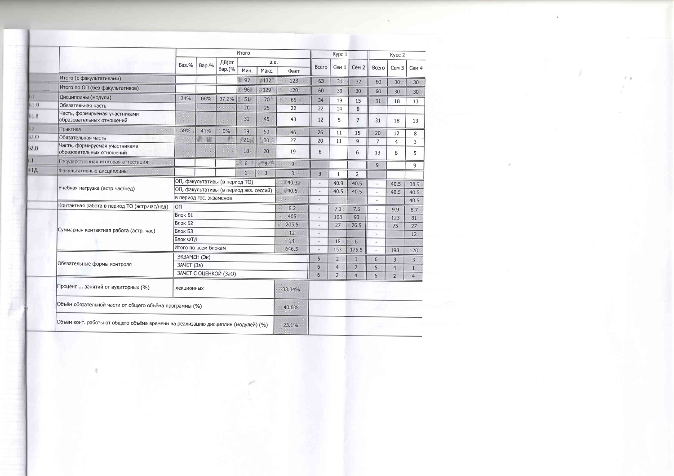|                  |                                                                                   |                         |       |                                         | Итого           |                 |                |                | Kypc 1           |                  |                | Kypc 2           |                |
|------------------|-----------------------------------------------------------------------------------|-------------------------|-------|-----------------------------------------|-----------------|-----------------|----------------|----------------|------------------|------------------|----------------|------------------|----------------|
|                  |                                                                                   | Баз.%                   | Bap.% | ДВ(от                                   |                 | 3.e.            |                | Всего          | Cem <sub>1</sub> | Cem <sub>2</sub> | Всего          | Cem <sub>3</sub> | Cem 4          |
|                  |                                                                                   |                         |       | Bap.)%                                  | Мин.            | Макс.           | Факт           |                |                  |                  |                |                  |                |
|                  | Итого (с факультативами)                                                          |                         |       |                                         | 97              | $*132$          | 123            | 63             | 31               | 32               | 60             | 30               | 30             |
|                  | Итого по ОП (без факультативов)                                                   |                         |       |                                         | 96              | 129             | 120            | 60             | 30               | 30               | 60             | 30               | 30             |
|                  | Дисциплины (модули)                                                               | 34%                     | 66%   | 37.2%                                   | 51              | 70              | 65 美           | 34             | 19               | 15               | 31             | 18               | 13             |
| 1.0              | Обязательная часть                                                                |                         |       |                                         | 20              | 25              | 22             | 22             | 14               | 8                |                |                  |                |
| 01B              | Часть, формируемая участниками<br>образовательных отношений                       |                         |       |                                         | 31              | 45              | 43             | 12             | 5                | $\overline{7}$   | 31             | 18               | 13             |
| 62.              | Практика                                                                          | 59%                     | 41%   | $0\%$                                   | 39              | 50              | 46             | 26             | 11               | 15               | 20             | 12               | 8              |
| 0.70             | Обязательная часть                                                                |                         | N.    |                                         | 21 <sub>1</sub> | 30 <sub>2</sub> | 27             | 20             | 11               | 9                | $\overline{7}$ | $\overline{4}$   | $\overline{3}$ |
| $0.2~\mathrm{B}$ | Часть, формируемая участниками<br>образовательных отношений                       |                         |       |                                         | 18              | 20              | 19             | 6              |                  | $6\phantom{1}$   | 13             | 8                | 5              |
|                  | Государственная итоговая аттестация                                               |                         |       |                                         | 6.              | » و »           | 9              |                |                  |                  | 9              |                  | 9              |
| ФИД              | Факультативные дисциплины                                                         |                         |       |                                         | $\mathbf{1}$    | 3               | $\overline{3}$ | $\overline{3}$ | $\mathbf{1}$     | $\overline{2}$   |                |                  |                |
|                  |                                                                                   |                         |       | ОП, факультативы (в период ТО)          |                 |                 | 40.3           |                | 40.9             | 40.5             |                | 40.5             | 38.9           |
|                  | Учебная нагрузка (астр.час/нед)                                                   |                         |       | ОП, факультативы (в период экз. сессий) |                 |                 | ※40.5          |                | 40.5             | 40.5             |                | 40.5             | 40.5           |
|                  |                                                                                   | в период гос. экзаменов |       |                                         |                 |                 |                |                |                  |                  |                |                  | 40.5           |
|                  | Контактная работа в период ТО (астр.час/нед)                                      | loп                     |       |                                         |                 |                 | 8.2            | $\sim$         | 7.1              | 7.6              |                | 9.9              | 8.7            |
|                  |                                                                                   | Блок Б1                 |       |                                         |                 |                 | 405            | $\omega$       | 108              | 93               |                | 123              | 81             |
|                  |                                                                                   | Блок Б2                 |       |                                         |                 |                 | 205.5          | $\sim$         | 27               | 76.5             |                | 75               | 27             |
|                  | Суммарная контактная работа (астр. час)                                           | Блок БЗ                 |       |                                         |                 |                 | 12             | $\sim$         |                  |                  |                |                  | 12             |
|                  |                                                                                   | Блок ФТД                |       |                                         |                 |                 | 24             | ×              | 18               | 6                |                |                  |                |
|                  |                                                                                   | Итого по всем блокам    |       |                                         |                 |                 | 646.5          |                | 153              | 175.5            |                | 198              | 120            |
|                  |                                                                                   | ЭКЗАМЕН (Эк)            |       |                                         |                 |                 |                | 5              | $\overline{2}$   | $\overline{3}$   | 6              | 3                | $\overline{3}$ |
|                  | Обязательные формы контроля                                                       | ЗАЧЕТ (За)              |       |                                         |                 |                 |                | 6              | $\overline{4}$   | $\overline{2}$   | 5              | $\overline{4}$   | 1              |
|                  |                                                                                   |                         |       | ЗАЧЕТ С ОЦЕНКОЙ (ЗаО)                   |                 |                 |                | 6              | $\overline{2}$   | $\overline{4}$   | 6              | $\overline{2}$   | $\overline{4}$ |
|                  | Процент  занятий от аудиторных (%)                                                | лекционных              |       |                                         |                 |                 | 33.34%         |                |                  |                  |                |                  |                |
|                  | Объём обязательной части от общего объёма программы (%)                           |                         |       |                                         |                 |                 | 40.8%          |                |                  |                  |                |                  |                |
|                  | Объём конт. работы от общего объёма времени на реализацию дисциплин (модулей) (%) |                         |       |                                         |                 |                 | 23.1%          |                |                  |                  |                |                  |                |

堂

 $\sim$